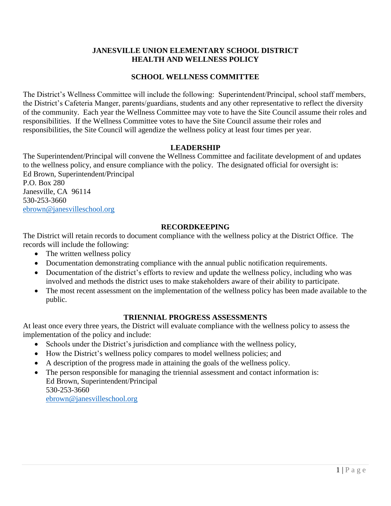### **JANESVILLE UNION ELEMENTARY SCHOOL DISTRICT HEALTH AND WELLNESS POLICY**

## **SCHOOL WELLNESS COMMITTEE**

The District's Wellness Committee will include the following: Superintendent/Principal, school staff members, the District's Cafeteria Manger, parents/guardians, students and any other representative to reflect the diversity of the community. Each year the Wellness Committee may vote to have the Site Council assume their roles and responsibilities. If the Wellness Committee votes to have the Site Council assume their roles and responsibilities, the Site Council will agendize the wellness policy at least four times per year.

#### **LEADERSHIP**

The Superintendent/Principal will convene the Wellness Committee and facilitate development of and updates to the wellness policy, and ensure compliance with the policy. The designated official for oversight is: Ed Brown, Superintendent/Principal

P.O. Box 280 Janesville, CA 96114 530-253-3660 [ebrown@janesvilleschool.org](mailto:ebrown@janesvilleschool.org)

#### **RECORDKEEPING**

The District will retain records to document compliance with the wellness policy at the District Office. The records will include the following:

- The written wellness policy
- Documentation demonstrating compliance with the annual public notification requirements.
- Documentation of the district's efforts to review and update the wellness policy, including who was involved and methods the district uses to make stakeholders aware of their ability to participate.
- The most recent assessment on the implementation of the wellness policy has been made available to the public.

#### **TRIENNIAL PROGRESS ASSESSMENTS**

At least once every three years, the District will evaluate compliance with the wellness policy to assess the implementation of the policy and include:

- Schools under the District's jurisdiction and compliance with the wellness policy,
- How the District's wellness policy compares to model wellness policies; and
- A description of the progress made in attaining the goals of the wellness policy.
- The person responsible for managing the triennial assessment and contact information is: Ed Brown, Superintendent/Principal 530-253-3660 [ebrown@janesvilleschool.org](mailto:ebrown@janesvilleschool.org)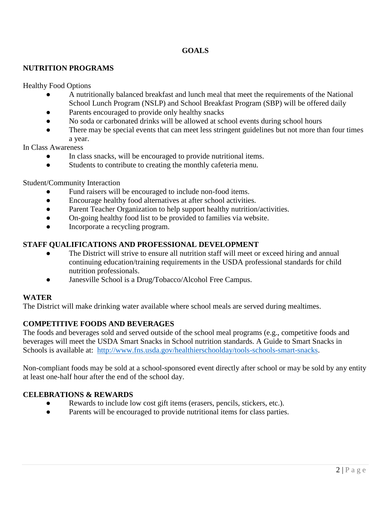# **GOALS**

## **NUTRITION PROGRAMS**

Healthy Food Options

- A nutritionally balanced breakfast and lunch meal that meet the requirements of the National School Lunch Program (NSLP) and School Breakfast Program (SBP) will be offered daily
- Parents encouraged to provide only healthy snacks
- No soda or carbonated drinks will be allowed at school events during school hours
- There may be special events that can meet less stringent guidelines but not more than four times a year.

In Class Awareness

- In class snacks, will be encouraged to provide nutritional items.
- Students to contribute to creating the monthly cafeteria menu.

Student/Community Interaction

- Fund raisers will be encouraged to include non-food items.
- Encourage healthy food alternatives at after school activities.
- Parent Teacher Organization to help support healthy nutrition/activities.
- On-going healthy food list to be provided to families via website.
- Incorporate a recycling program.

#### **STAFF QUALIFICATIONS AND PROFESSIONAL DEVELOPMENT**

- The District will strive to ensure all nutrition staff will meet or exceed hiring and annual continuing education/training requirements in the USDA professional standards for child nutrition professionals.
- Janesville School is a Drug/Tobacco/Alcohol Free Campus.

#### **WATER**

The District will make drinking water available where school meals are served during mealtimes.

## **COMPETITIVE FOODS AND BEVERAGES**

The foods and beverages sold and served outside of the school meal programs (e.g., competitive foods and beverages will meet the USDA Smart Snacks in School nutrition standards. A Guide to Smart Snacks in Schools is available at: [http://www.fns.usda.gov/healthierschoolday/tools-schools-smart-snacks.](http://www.fns.usda.gov/healthierschoolday/tools-schools-smart-snacks)

Non-compliant foods may be sold at a school-sponsored event directly after school or may be sold by any entity at least one-half hour after the end of the school day.

## **CELEBRATIONS & REWARDS**

- Rewards to include low cost gift items (erasers, pencils, stickers, etc.).
- Parents will be encouraged to provide nutritional items for class parties.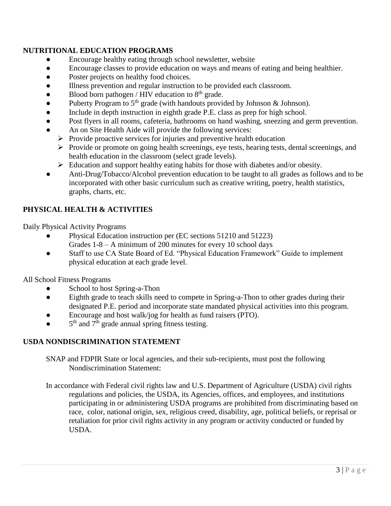## **NUTRITIONAL EDUCATION PROGRAMS**

- Encourage healthy eating through school newsletter, website
- Encourage classes to provide education on ways and means of eating and being healthier.
- Poster projects on healthy food choices.
- Illness prevention and regular instruction to be provided each classroom.
- $\bullet$  Blood born pathogen / HIV education to  $8<sup>th</sup>$  grade.
- Puberty Program to  $5<sup>th</sup>$  grade (with handouts provided by Johnson & Johnson).
- Include in depth instruction in eighth grade P.E. class as prep for high school.
- Post flyers in all rooms, cafeteria, bathrooms on hand washing, sneezing and germ prevention.
- An on Site Health Aide will provide the following services:
	- $\triangleright$  Provide proactive services for injuries and preventive health education
	- $\triangleright$  Provide or promote on going health screenings, eye tests, hearing tests, dental screenings, and health education in the classroom (select grade levels).
	- $\triangleright$  Education and support healthy eating habits for those with diabetes and/or obesity.
- Anti-Drug/Tobacco/Alcohol prevention education to be taught to all grades as follows and to be incorporated with other basic curriculum such as creative writing, poetry, health statistics, graphs, charts, etc.

# **PHYSICAL HEALTH & ACTIVITIES**

Daily Physical Activity Programs

- Physical Education instruction per (EC sections 51210 and 51223) Grades 1-8 – A minimum of 200 minutes for every 10 school days
- Staff to use CA State Board of Ed. "Physical Education Framework" Guide to implement physical education at each grade level.

All School Fitness Programs

- School to host Spring-a-Thon
- Eighth grade to teach skills need to compete in Spring-a-Thon to other grades during their designated P.E. period and incorporate state mandated physical activities into this program.
- Encourage and host walk/jog for health as fund raisers (PTO).
- $\bullet$  5<sup>th</sup> and 7<sup>th</sup> grade annual spring fitness testing.

## **USDA NONDISCRIMINATION STATEMENT**

SNAP and FDPIR State or local agencies, and their sub-recipients, must post the following Nondiscrimination Statement:

In accordance with Federal civil rights law and U.S. Department of Agriculture (USDA) civil rights regulations and policies, the USDA, its Agencies, offices, and employees, and institutions participating in or administering USDA programs are prohibited from discriminating based on race, color, national origin, sex, religious creed, disability, age, political beliefs, or reprisal or retaliation for prior civil rights activity in any program or activity conducted or funded by USDA.